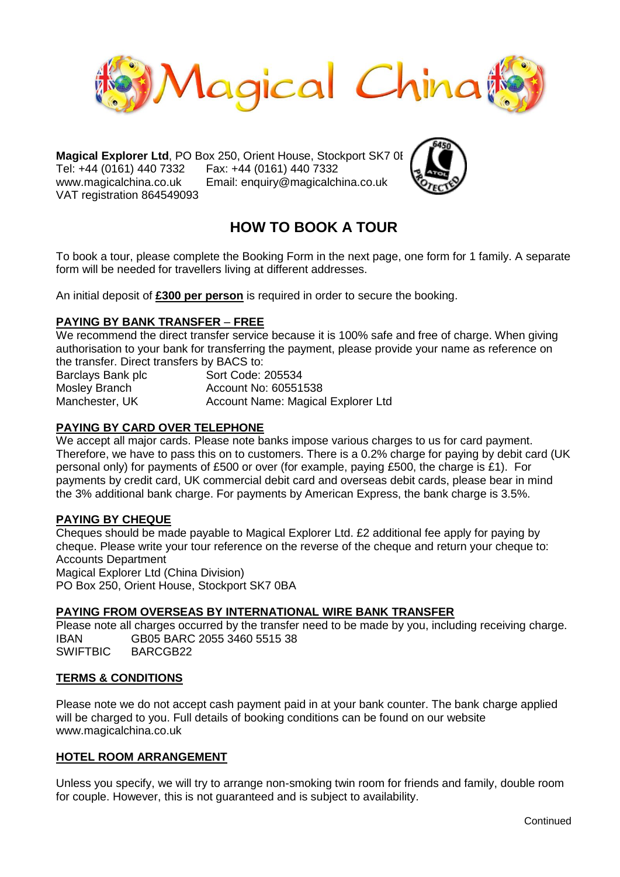

**Magical Explorer Ltd**, PO Box 250, Orient House, Stockport SK7 0BA Tel: +44 (0161) 440 7332 Fax: +44 (0161) 440 7332 www.magicalchina.co.uk Email: enquiry@magicalchina.co.uk VAT registration 864549093



# **HOW TO BOOK A TOUR**

To book a tour, please complete the Booking Form in the next page, one form for 1 family. A separate form will be needed for travellers living at different addresses.

An initial deposit of **£300 per person** is required in order to secure the booking.

## **PAYING BY BANK TRANSFER** – **FREE**

We recommend the direct transfer service because it is 100% safe and free of charge. When giving authorisation to your bank for transferring the payment, please provide your name as reference on the transfer. Direct transfers by BACS to:

Barclays Bank plc **Sort Code: 205534** Mosley Branch Account No: 60551538 Manchester, UK Account Name: Magical Explorer Ltd

#### **PAYING BY CARD OVER TELEPHONE**

We accept all major cards. Please note banks impose various charges to us for card payment. Therefore, we have to pass this on to customers. There is a 0.2% charge for paying by debit card (UK personal only) for payments of £500 or over (for example, paying £500, the charge is £1). For payments by credit card, UK commercial debit card and overseas debit cards, please bear in mind the 3% additional bank charge. For payments by American Express, the bank charge is 3.5%.

## **PAYING BY CHEQUE**

Cheques should be made payable to Magical Explorer Ltd. £2 additional fee apply for paying by cheque. Please write your tour reference on the reverse of the cheque and return your cheque to: Accounts Department Magical Explorer Ltd (China Division)

PO Box 250, Orient House, Stockport SK7 0BA

#### **PAYING FROM OVERSEAS BY INTERNATIONAL WIRE BANK TRANSFER**

Please note all charges occurred by the transfer need to be made by you, including receiving charge. IBAN GB05 BARC 2055 3460 5515 38 SWIFTBIC BARCGB22

#### **TERMS & CONDITIONS**

Please note we do not accept cash payment paid in at your bank counter. The bank charge applied will be charged to you. Full details of booking conditions can be found on our website www.magicalchina.co.uk

#### **HOTEL ROOM ARRANGEMENT**

Unless you specify, we will try to arrange non-smoking twin room for friends and family, double room for couple. However, this is not guaranteed and is subject to availability.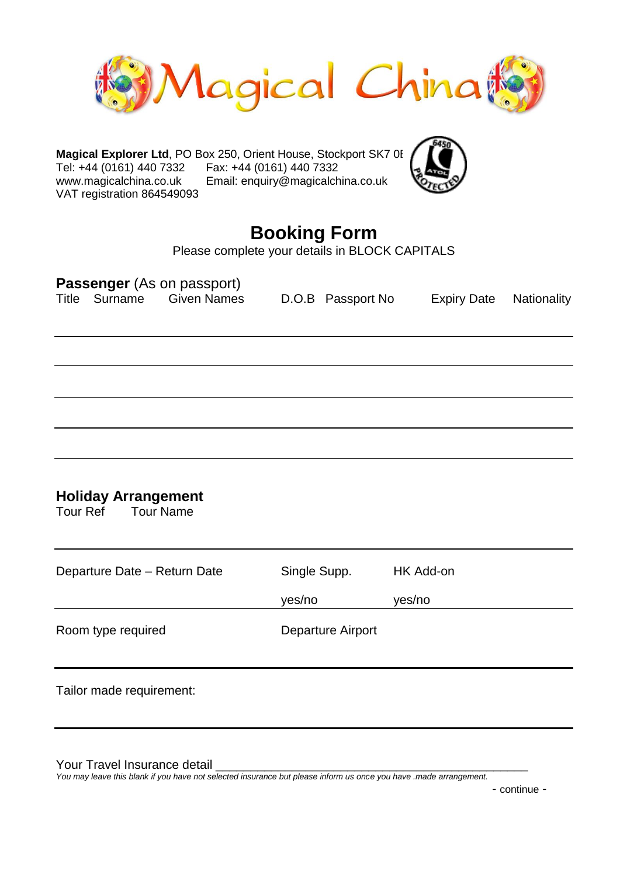

**Magical Explorer Ltd**, PO Box 250, Orient House, Stockport SK7 0E Tel: +44 (0161) 440 7332 Fax: +44 (0161) 440 7332 www.magicalchina.co.uk Email: enquiry@magicalchina.co.uk VAT registration 864549093



# **Booking Form**

Please complete your details in BLOCK CAPITALS

| <b>Passenger</b> (As on passport)<br>Title Surname Given Names | D.O.B Passport No                     | <b>Expiry Date</b> | Nationality |
|----------------------------------------------------------------|---------------------------------------|--------------------|-------------|
|                                                                |                                       |                    |             |
|                                                                |                                       |                    |             |
|                                                                |                                       |                    |             |
| <b>Holiday Arrangement</b><br><b>Tour Name</b><br>Tour Ref     |                                       |                    |             |
| Departure Date - Return Date                                   | Single Supp.                          | HK Add-on          |             |
| Room type required                                             | yes/no<br>yes/no<br>Departure Airport |                    |             |
| Tailor made requirement:                                       |                                       |                    |             |

Your Travel Insurance detail

*You may leave this blank if you have not selected insurance but please inform us once you have .made arrangement.*